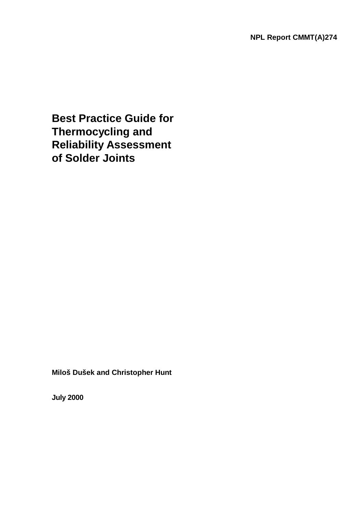**Best Practice Guide for Thermocycling and Reliability Assessment of Solder Joints**

**Miloš Dušek and Christopher Hunt** 

**July 2000**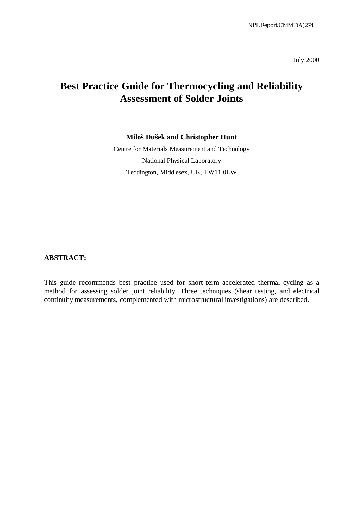July 2000

# **Best Practice Guide for Thermocycling and Reliability Assessment of Solder Joints**

#### **Miloš Dušek and Christopher Hunt**

Centre for Materials Measurement and Technology National Physical Laboratory Teddington, Middlesex, UK, TW11 0LW

**ABSTRACT:**

This guide recommends best practice used for short-term accelerated thermal cycling as a method for assessing solder joint reliability. Three techniques (shear testing, and electrical continuity measurements, complemented with microstructural investigations) are described.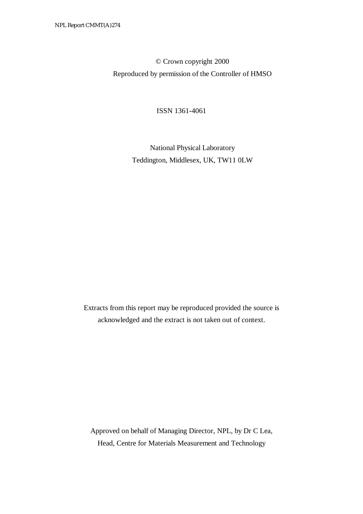© Crown copyright 2000 Reproduced by permission of the Controller of HMSO

ISSN 1361-4061

 National Physical Laboratory Teddington, Middlesex, UK, TW11 0LW

Extracts from this report may be reproduced provided the source is acknowledged and the extract is not taken out of context.

Approved on behalf of Managing Director, NPL, by Dr C Lea, Head, Centre for Materials Measurement and Technology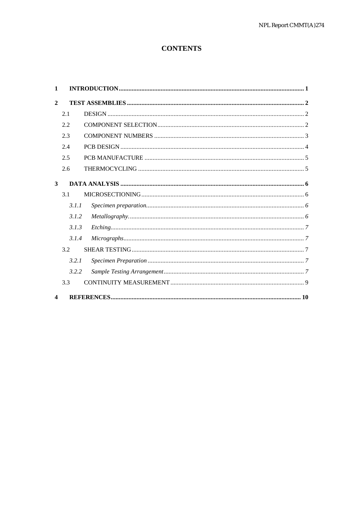# **CONTENTS**

| 1                |       |  |
|------------------|-------|--|
| $\mathbf{2}$     |       |  |
|                  | 2.1   |  |
|                  | 2.2   |  |
|                  | 2.3   |  |
|                  | 2.4   |  |
|                  | 2.5   |  |
|                  | 2.6   |  |
| 3                |       |  |
|                  | 3.1   |  |
|                  | 3.1.1 |  |
|                  | 3.1.2 |  |
|                  | 3.1.3 |  |
|                  | 3.1.4 |  |
|                  | 3.2   |  |
|                  | 3.2.1 |  |
|                  | 3.2.2 |  |
|                  | 3.3   |  |
| $\boldsymbol{4}$ |       |  |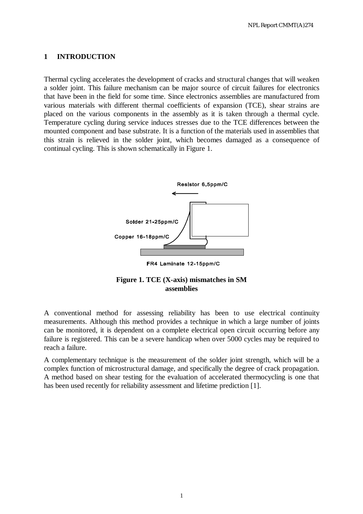#### **1 INTRODUCTION**

Thermal cycling accelerates the development of cracks and structural changes that will weaken a solder joint. This failure mechanism can be major source of circuit failures for electronics that have been in the field for some time. Since electronics assemblies are manufactured from various materials with different thermal coefficients of expansion (TCE), shear strains are placed on the various components in the assembly as it is taken through a thermal cycle. Temperature cycling during service induces stresses due to the TCE differences between the mounted component and base substrate. It is a function of the materials used in assemblies that this strain is relieved in the solder joint, which becomes damaged as a consequence of continual cycling. This is shown schematically in Figure 1.





A conventional method for assessing reliability has been to use electrical continuity measurements. Although this method provides a technique in which a large number of joints can be monitored, it is dependent on a complete electrical open circuit occurring before any failure is registered. This can be a severe handicap when over 5000 cycles may be required to reach a failure.

A complementary technique is the measurement of the solder joint strength, which will be a complex function of microstructural damage, and specifically the degree of crack propagation. A method based on shear testing for the evaluation of accelerated thermocycling is one that has been used recently for reliability assessment and lifetime prediction [1].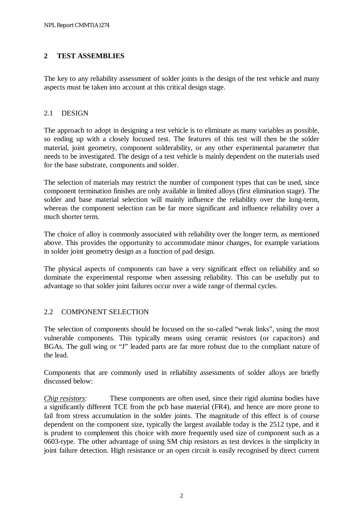## **2 TEST ASSEMBLIES**

The key to any reliability assessment of solder joints is the design of the test vehicle and many aspects must be taken into account at this critical design stage.

## 2.1 DESIGN

The approach to adopt in designing a test vehicle is to eliminate as many variables as possible, so ending up with a closely focused test. The features of this test will then be the solder material, joint geometry, component solderability, or any other experimental parameter that needs to be investigated. The design of a test vehicle is mainly dependent on the materials used for the base substrate, components and solder.

The selection of materials may restrict the number of component types that can be used, since component termination finishes are only available in limited alloys (first elimination stage). The solder and base material selection will mainly influence the reliability over the long-term, whereas the component selection can be far more significant and influence reliability over a much shorter term.

The choice of alloy is commonly associated with reliability over the longer term, as mentioned above. This provides the opportunity to accommodate minor changes, for example variations in solder joint geometry design as a function of pad design.

The physical aspects of components can have a very significant effect on reliability and so dominate the experimental response when assessing reliability. This can be usefully put to advantage so that solder joint failures occur over a wide range of thermal cycles.

## 2.2 COMPONENT SELECTION

The selection of components should be focused on the so-called "weak links", using the most vulnerable components. This typically means using ceramic resistors (or capacitors) and BGAs. The gull wing or "J" leaded parts are far more robust due to the compliant nature of the lead.

Components that are commonly used in reliability assessments of solder alloys are briefly discussed below:

*Chip resistors:* These components are often used, since their rigid alumina bodies have a significantly different TCE from the pcb base material (FR4), and hence are more prone to fail from stress accumulation in the solder joints. The magnitude of this effect is of course dependent on the component size, typically the largest available today is the 2512 type, and it is prudent to complement this choice with more frequently used size of component such as a 0603-type. The other advantage of using SM chip resistors as test devices is the simplicity in joint failure detection. High resistance or an open circuit is easily recognised by direct current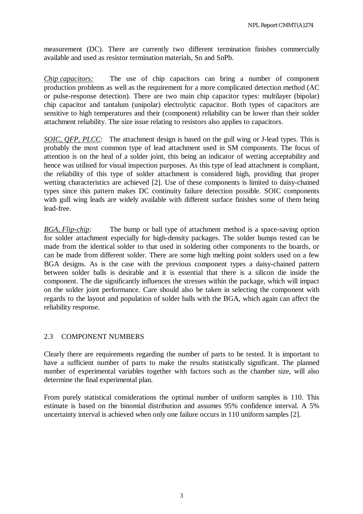measurement (DC). There are currently two different termination finishes commercially available and used as resistor termination materials, Sn and SnPb.

*Chip capacitors:* The use of chip capacitors can bring a number of component production problems as well as the requirement for a more complicated detection method (AC or pulse-response detection). There are two main chip capacitor types: multilayer (bipolar) chip capacitor and tantalum (unipolar) electrolytic capacitor. Both types of capacitors are sensitive to high temperatures and their (component) reliability can be lower than their solder attachment reliability. The size issue relating to resistors also applies to capacitors.

*SOIC, QFP, PLCC*: The attachment design is based on the gull wing or J-lead types. This is probably the most common type of lead attachment used in SM components. The focus of attention is on the heal of a solder joint, this being an indicator of wetting acceptability and hence was utilised for visual inspection purposes. As this type of lead attachment is compliant, the reliability of this type of solder attachment is considered high, providing that proper wetting characteristics are achieved [2]. Use of these components is limited to daisy-chained types since this pattern makes DC continuity failure detection possible. SOIC components with gull wing leads are widely available with different surface finishes some of them being lead-free.

*BGA, Flip-chip:* The bump or ball type of attachment method is a space-saving option for solder attachment especially for high-density packages. The solder bumps tested can be made from the identical solder to that used in soldering other components to the boards, or can be made from different solder. There are some high melting point solders used on a few BGA designs. As is the case with the previous component types a daisy-chained pattern between solder balls is desirable and it is essential that there is a silicon die inside the component. The die significantly influences the stresses within the package, which will impact on the solder joint performance. Care should also be taken in selecting the component with regards to the layout and population of solder balls with the BGA, which again can affect the reliability response.

## 2.3 COMPONENT NUMBERS

Clearly there are requirements regarding the number of parts to be tested. It is important to have a sufficient number of parts to make the results statistically significant. The planned number of experimental variables together with factors such as the chamber size, will also determine the final experimental plan.

From purely statistical considerations the optimal number of uniform samples is 110. This estimate is based on the binomial distribution and assumes 95% confidence interval. A 5% uncertainty interval is achieved when only one failure occurs in 110 uniform samples [2].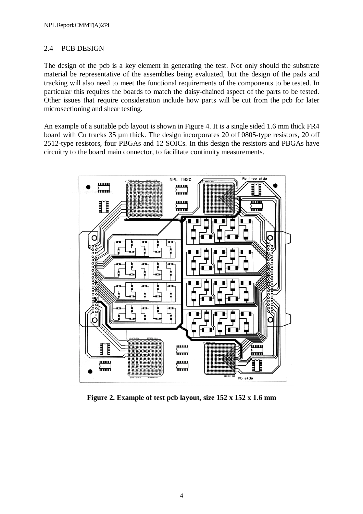#### 2.4 PCB DESIGN

The design of the pcb is a key element in generating the test. Not only should the substrate material be representative of the assemblies being evaluated, but the design of the pads and tracking will also need to meet the functional requirements of the components to be tested. In particular this requires the boards to match the daisy-chained aspect of the parts to be tested. Other issues that require consideration include how parts will be cut from the pcb for later microsectioning and shear testing.

An example of a suitable pcb layout is shown in Figure 4. It is a single sided 1.6 mm thick FR4 board with Cu tracks 35 µm thick. The design incorporates 20 off 0805-type resistors, 20 off 2512-type resistors, four PBGAs and 12 SOICs. In this design the resistors and PBGAs have circuitry to the board main connector, to facilitate continuity measurements.



**Figure 2. Example of test pcb layout, size 152 x 152 x 1.6 mm**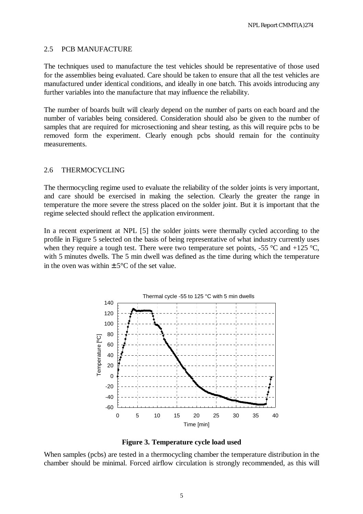#### 2.5 PCB MANUFACTURE

The techniques used to manufacture the test vehicles should be representative of those used for the assemblies being evaluated. Care should be taken to ensure that all the test vehicles are manufactured under identical conditions, and ideally in one batch. This avoids introducing any further variables into the manufacture that may influence the reliability.

The number of boards built will clearly depend on the number of parts on each board and the number of variables being considered. Consideration should also be given to the number of samples that are required for microsectioning and shear testing, as this will require pcbs to be removed form the experiment. Clearly enough pcbs should remain for the continuity measurements.

#### 2.6 THERMOCYCLING

The thermocycling regime used to evaluate the reliability of the solder joints is very important, and care should be exercised in making the selection. Clearly the greater the range in temperature the more severe the stress placed on the solder joint. But it is important that the regime selected should reflect the application environment.

In a recent experiment at NPL [5] the solder joints were thermally cycled according to the profile in Figure 5 selected on the basis of being representative of what industry currently uses when they require a tough test. There were two temperature set points, -55  $\degree$ C and +125  $\degree$ C, with 5 minutes dwells. The 5 min dwell was defined as the time during which the temperature in the oven was within  $+5^{\circ}$ C of the set value.



**Figure 3. Temperature cycle load used** 

When samples (pcbs) are tested in a thermocycling chamber the temperature distribution in the chamber should be minimal. Forced airflow circulation is strongly recommended, as this will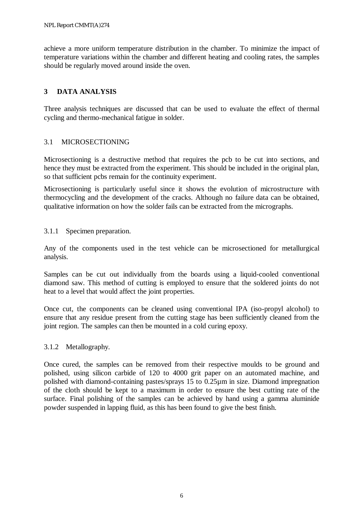achieve a more uniform temperature distribution in the chamber. To minimize the impact of temperature variations within the chamber and different heating and cooling rates, the samples should be regularly moved around inside the oven.

## **3 DATA ANALYSIS**

Three analysis techniques are discussed that can be used to evaluate the effect of thermal cycling and thermo-mechanical fatigue in solder.

## 3.1 MICROSECTIONING

Microsectioning is a destructive method that requires the pcb to be cut into sections, and hence they must be extracted from the experiment. This should be included in the original plan, so that sufficient pcbs remain for the continuity experiment.

Microsectioning is particularly useful since it shows the evolution of microstructure with thermocycling and the development of the cracks. Although no failure data can be obtained, qualitative information on how the solder fails can be extracted from the micrographs.

## 3.1.1 Specimen preparation.

Any of the components used in the test vehicle can be microsectioned for metallurgical analysis.

Samples can be cut out individually from the boards using a liquid-cooled conventional diamond saw. This method of cutting is employed to ensure that the soldered joints do not heat to a level that would affect the joint properties.

Once cut, the components can be cleaned using conventional IPA (iso-propyl alcohol) to ensure that any residue present from the cutting stage has been sufficiently cleaned from the joint region. The samples can then be mounted in a cold curing epoxy.

## 3.1.2 Metallography.

Once cured, the samples can be removed from their respective moulds to be ground and polished, using silicon carbide of 120 to 4000 grit paper on an automated machine, and polished with diamond-containing pastes/sprays 15 to 0.25µm in size. Diamond impregnation of the cloth should be kept to a maximum in order to ensure the best cutting rate of the surface. Final polishing of the samples can be achieved by hand using a gamma aluminide powder suspended in lapping fluid, as this has been found to give the best finish.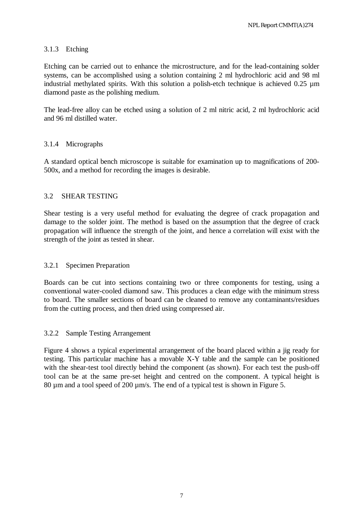#### 3.1.3 Etching

Etching can be carried out to enhance the microstructure, and for the lead-containing solder systems, can be accomplished using a solution containing 2 ml hydrochloric acid and 98 ml industrial methylated spirits. With this solution a polish-etch technique is achieved 0.25 µm diamond paste as the polishing medium.

The lead-free alloy can be etched using a solution of 2 ml nitric acid, 2 ml hydrochloric acid and 96 ml distilled water.

## 3.1.4 Micrographs

A standard optical bench microscope is suitable for examination up to magnifications of 200- 500x, and a method for recording the images is desirable.

## 3.2 SHEAR TESTING

Shear testing is a very useful method for evaluating the degree of crack propagation and damage to the solder joint. The method is based on the assumption that the degree of crack propagation will influence the strength of the joint, and hence a correlation will exist with the strength of the joint as tested in shear.

#### 3.2.1 Specimen Preparation

Boards can be cut into sections containing two or three components for testing, using a conventional water-cooled diamond saw. This produces a clean edge with the minimum stress to board. The smaller sections of board can be cleaned to remove any contaminants/residues from the cutting process, and then dried using compressed air.

#### 3.2.2 Sample Testing Arrangement

Figure 4 shows a typical experimental arrangement of the board placed within a jig ready for testing. This particular machine has a movable X-Y table and the sample can be positioned with the shear-test tool directly behind the component (as shown). For each test the push-off tool can be at the same pre-set height and centred on the component. A typical height is 80 µm and a tool speed of 200 µm/s. The end of a typical test is shown in Figure 5.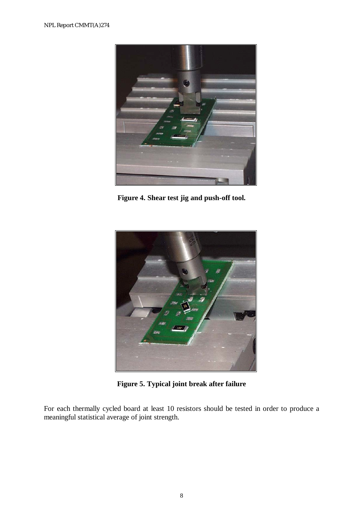

**Figure 4. Shear test jig and push-off tool.** 



**Figure 5. Typical joint break after failure** 

For each thermally cycled board at least 10 resistors should be tested in order to produce a meaningful statistical average of joint strength.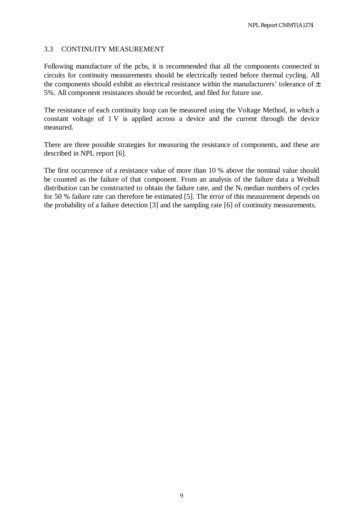#### 3.3 CONTINUITY MEASUREMENT

Following manufacture of the pcbs, it is recommended that all the components connected in circuits for continuity measurements should be electrically tested before thermal cycling. All the components should exhibit an electrical resistance within the manufacturers' tolerance of  $\pm$ 5%. All component resistances should be recorded, and filed for future use.

The resistance of each continuity loop can be measured using the Voltage Method, in which a constant voltage of 1 V is applied across a device and the current through the device measured.

There are three possible strategies for measuring the resistance of components, and these are described in NPL report [6].

The first occurrence of a resistance value of more than 10 % above the nominal value should be counted as the failure of that component. From an analysis of the failure data a Weibull distribution can be constructed to obtain the failure rate, and the  $N_f$  median numbers of cycles for 50 % failure rate can therefore be estimated [5]. The error of this measurement depends on the probability of a failure detection [3] and the sampling rate [6] of continuity measurements.